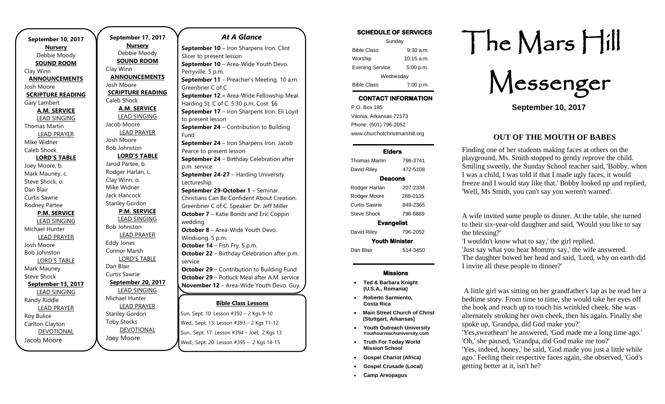**September 10, 2017 Nursery** Debbie Moody **SOUND ROOM** Clay Winn **ANNOUNCEMENTS** Josh Moore **SCRIPTURE READING** Gary Lambert **A.M. SERVICE** LEAD SINGING Thomas Martin LEAD PRAYER Mike Widner Caleb Shock **LORD'S TABLE** Joey Moore, b. Mark Mauney, c. Steve Shock, o. Dan Blair Curtis Sawrie Rodney Partee **P.M. SERVICE** LEAD SINGING Michael Hunter LEAD PRAYER Josh Moore Bob Johnston LORD'S TABLE Mark Mauney Steve Shock **September 13, 2017** LEAD SINGING Randy Riddle LEAD PRAYER Roy Bulice Carlton Clayton DEVOTIONAL Jacob Moore

.

**September 17, 2017 Nursery** Debbie Moody **SOUND ROOM** Clay Winn **ANNOUNCEMENTS** Josh Moore **SCRIPTURE READING** Caleb Shock **A.M. SERVICE** LEAD SINGING Jacob Moore LEAD PRAYER Josh Moore Bob Johnston **LORD'S TABLE** Jarod Partee, b. Rodger Harlan, c. Clay Winn, o. Mike Widner Jack Hancock Stanley Gordon **P.M. SERVICE** LEAD SINGING Bob Johnston LEAD PRAYER Eddy Jones Connor Marsh LORD'S TABLE Dan Blair Curtis Sawrie **September 20, 2017** LEAD SINGING Michael Hunter LEAD PRAYER Stanley Gordon Toby Stocks DEVOTIONAL Joey Moore

### *At A Glance*

**Bible Class Lessons** Sun, Sept. 10: Lesson #392 – 2 Kgs 9-10 Fund **September 10** – Iron Sharpens Iron. Clint Slicer to present lesson **September 10** – Area-Wide Youth Devo. Perryville. 5 p.m. **September 11** – Preacher's Meeting. 10 a.m. Greenbrier C of C **September 12 –** Area-Wide Fellowship Meal. Harding St. C of C. 5:30 p.m. Cost: \$6 **September 17** – Iron Sharpens Iron. Eli Loyd to present lesson **September 24** – Contribution to Building Fund **September 24** – Iron Sharpens Iron. Jacob Pearce to present lesson **September 24** – Birthday Celebration after p.m. service **September 24-27** – Harding University Lectureship. **September 29-October 1** – Seminar. Christians Can Be Confident About Creation. Greenbrier C of C. Speaker: Dr. Jeff Miller **October 7** – Katie Bonds and Eric Coppin wedding. **October 8** – Area-Wide Youth Devo. Windsong. 5 p.m. **October 14** – Fish Fry. 5 p.m. **October 22** – Birthday Celebration after p.m. service **October 29** – Contribution to Building Fund **October 29** – Potluck Meal after A.M. service **November 12** – Area-Wide Youth Devo. Guy.  $\succ$ **December 10** – Area-Wide Youth Devo.

Wed., Sept. 13: Lesson #393 – 2 Kgs 11-12 Sun., Sept. 17: Lesson #394 - Joel; 2 Kgs 13 Wed., Sept. 20: Lesson #395 - 2 Kgs 14-15

| <b>SCHEDULE OF SERVICES</b> |                      |  |
|-----------------------------|----------------------|--|
| Sunday                      |                      |  |
| <b>Bible Class</b>          | $9:30$ a.m.          |  |
| Worship                     | $10:15 \text{ a.m.}$ |  |
| <b>Evening Service</b>      | 5:00 p.m.            |  |
| Wednesday                   |                      |  |
| <b>Bible Class</b>          | 7:00 p.m.            |  |

# CONTACT INFORMATION

. .o. Box 166<br>Vilonia, Arkansas 72173 P.O. Box 185 Phone: (501) 796-2052 www.churchofchristmarshill.org

### Elders

| Thomas Martin         | 796-3741 |  |
|-----------------------|----------|--|
| David Riley           | 472-5108 |  |
| Deacons               |          |  |
| Rodger Harlan         | 207-2334 |  |
| Rodger Moore          | 288-0135 |  |
| Curtis Sawrie         | 849-2365 |  |
| Steve Shock           | 796-8889 |  |
| <b>Evangelist</b>     |          |  |
| David Riley           | 796-2052 |  |
| <b>Youth Minister</b> |          |  |
| Dan Blair             | 514-3450 |  |
|                       |          |  |

#### Missions

- **Ted & Barbara Knight (U.S.A., Romania)**
- **Roberto Sarmiento, Costa Rica**
- **Main Street Church of Christ (Stuttgart, Arkansas)**
- **Youth Outreach University Youthourreachuniversity.com**
- **Truth For Today World Mission School**
- **Gospel Chariot (Africa)**
- **Gospel Crusade (Local)**
- **Camp Areopagus**

# The Mars Hill

Messenger

**September 10, 2017**

## **OUT OF THE MOUTH OF BABES**

Finding one of her students making faces at others on the playground, Ms. Smith stopped to gently reprove the child. Smiling sweetly, the Sunday School teacher said, 'Bobby, when I was a child, I was told if that I made ugly faces, it would freeze and I would stay like that.' Bobby looked up and replied, 'Well, Ms Smith, you can't say you weren't warned'.

A wife invited some people to dinner. At the table, she turned to their six-year-old daughter and said, 'Would you like to say the blessing?'

'I wouldn't know what to say,' the girl replied. 'Just say what you hear Mommy say,' the wife answered. The daughter bowed her head and said, 'Lord, why on earth did I invite all these people to dinner?'

A little girl was sitting on her grandfather's lap as he read her a bedtime story. From time to time, she would take her eyes off the book and reach up to touch his wrinkled cheek. She was alternately stroking her own cheek, then his again. Finally she spoke up, 'Grandpa, did God make you?'

'Yes,sweatheart' he answered, 'God made me a long time ago.' 'Oh,' she paused, 'Grandpa, did God make me too?'

'Yes, indeed, honey,' he said, 'God made you just a little while ago.' Feeling their respective faces again, she observed, 'God's getting better at it, isn't he?